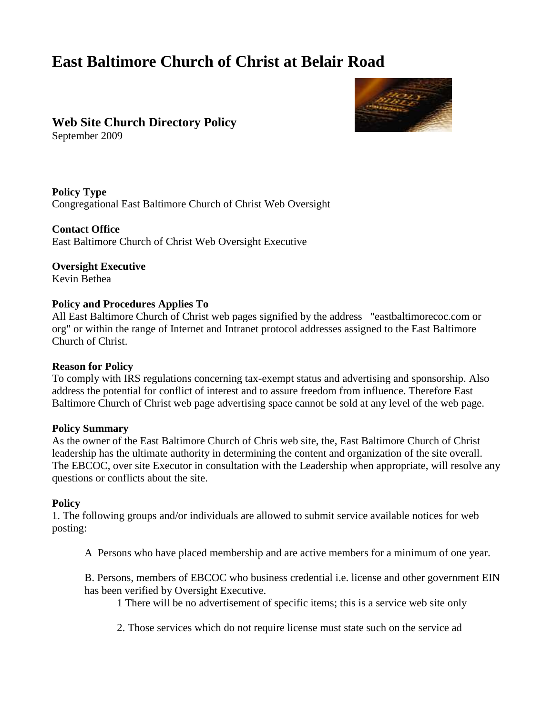# **East Baltimore Church of Christ at Belair Road**

## **Web Site Church Directory Policy**

September 2009



**Contact Office** East Baltimore Church of Christ Web Oversight Executive

#### **Oversight Executive** Kevin Bethea

### **Policy and Procedures Applies To**

All East Baltimore Church of Christ web pages signified by the address "eastbaltimorecoc.com or org" or within the range of Internet and Intranet protocol addresses assigned to the East Baltimore Church of Christ.

#### **Reason for Policy**

To comply with IRS regulations concerning tax-exempt status and advertising and sponsorship. Also address the potential for conflict of interest and to assure freedom from influence. Therefore East Baltimore Church of Christ web page advertising space cannot be sold at any level of the web page.

#### **Policy Summary**

As the owner of the East Baltimore Church of Chris web site, the, East Baltimore Church of Christ leadership has the ultimate authority in determining the content and organization of the site overall. The EBCOC, over site Executor in consultation with the Leadership when appropriate, will resolve any questions or conflicts about the site.

#### **Policy**

1. The following groups and/or individuals are allowed to submit service available notices for web posting:

A Persons who have placed membership and are active members for a minimum of one year.

B. Persons, members of EBCOC who business credential i.e. license and other government EIN has been verified by Oversight Executive.

1 There will be no advertisement of specific items; this is a service web site only

2. Those services which do not require license must state such on the service ad